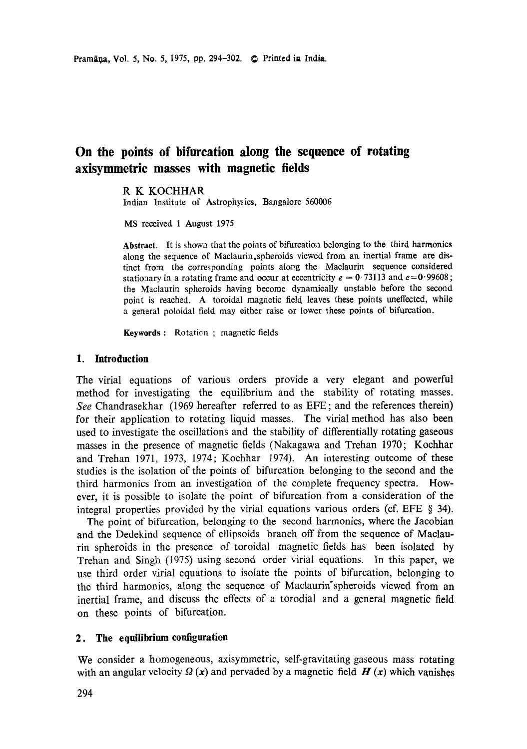# **On the points of bifurcation along the sequence of rotating axisymmetric masses with magnetic fields**

#### **R K** KOCHHAR

Indian Institute of Astrophysics, Bangalore 560006

MS received 1 August 1975

**Abstract.** It is shown that the points of bifurcation belonging to the third **harmonics**  along the sequence of Maclaurin,spheroids viewed from an inertial frame are distinct from the corresponding points along the Maclaurin sequence considered stationary in a rotating frame and occur at eccentricity  $e = 0.73113$  and  $e = 0.99608$ ; the Maclaurin spheroids having become dynamically unstable before the second point is reached. A toroidal magnetic field leaves these points uneffected, while a general poloidal field may either raise or lower these points of bifurcation.

Keywords : Rotation ; magnetic fields

#### **1. Introduction**

The virial equations of various orders provide a very elegant and powerful method for investigating the equilibrium and the stability of rotating masses. *See* Chandrasekhar (1969 hereafter referred to as EFE; and the references therein) for their application to rotating liquid masses. The virial method has also been used to investigate the oscillations and the stability of differentially rotating gaseous masses in the presence of magnetic fields (Nakagawa and Trehan 1970; Kochhar and Trehan 1971, 1973, 1974; Kochhar 1974). An interesting outcome of these studies is the isolation of the points of bifurcation belonging to the second and the third harmonics from an investigation of the complete frequency spectra. However, it is possible to isolate the point of bifurcation from a consideration of the integral properties provided by the virial equations various orders (cf. EFE § 34).

The point of bifurcation, belonging to the second harmonics, where the Jacobian and the Dedekind sequence of ellipsoids branch off from the sequence of Maclaurin spheroids in the presence of toroidal magnetic fields has been isolated by Trehan and Singh (1975) using second order virial equations. In this paper, we use third order virial equations to isolate the points of bifurcation, belonging to the third harmonics, along the sequence of Maclaurin spheroids viewed from an inertial frame, and discuss the effects of a torodial and a general magnetic field on these points of bifurcation.

# **2. The equilibrium configuration**

We consider a homogeneous, axisymmetric, self-gravitating gaseous mass rotating with an angular velocity  $\Omega(x)$  and pervaded by a magnetic field  $H(x)$  which vanishes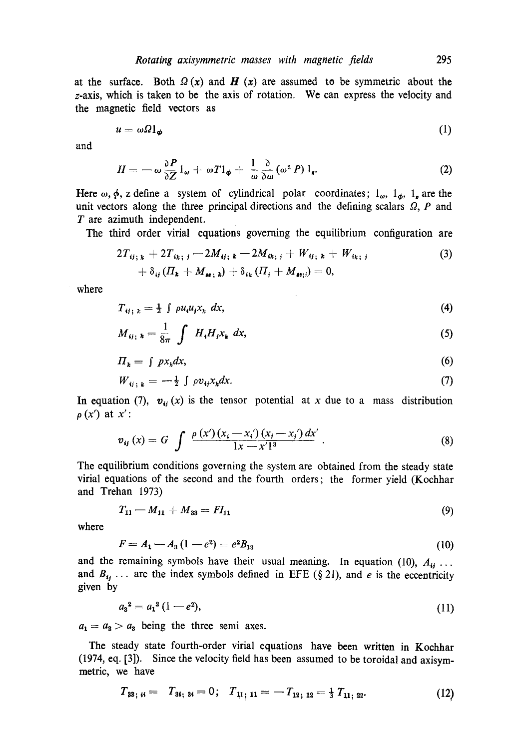at the surface. Both  $\Omega(x)$  and  $H(x)$  are assumed to be symmetric about the z-axis, which is taken to be the axis of rotation. We can express the velocity and the magnetic field vectors as

$$
u = \omega \Omega \mathbf{1}_{\phi} \tag{1}
$$

and

$$
H = -\omega \frac{\partial P}{\partial Z} 1_{\omega} + \omega T 1_{\phi} + \frac{1}{\omega} \frac{\partial}{\partial \omega} (\omega^2 P) 1_{\mathbf{s}}.
$$
 (2)

Here  $\omega$ ,  $\phi$ , z define a system of cylindrical polar coordinates;  $1_{\omega}$ ,  $1_{\phi}$ ,  $1_{\phi}$  are the unit vectors along the three principal directions and the defining scalars  $Q$ , P and T are azimuth independent.

The third order virial equations governing the equilibrium configuration are

$$
2T_{ij;k} + 2T_{ik;j} - 2M_{ij;k} - 2M_{ik;j} + W_{ij;k} + W_{ik;j} + \delta_{ij}(H_k + M_{ij;k}) + \delta_{ik}(H_j + M_{dis;j}) = 0,
$$
\n(3)

where

$$
T_{ij;\;k} = \frac{1}{2} \int \rho u_i u_j x_k \; dx,\tag{4}
$$

$$
M_{ij;\;k} = \frac{1}{8\pi} \int H_i H_j x_k \; dx,\tag{5}
$$

$$
\Pi_k = \int p x_k dx, \tag{6}
$$

$$
W_{ij;k} = -\frac{1}{2} \int \rho v_{ij} x_k dx. \tag{7}
$$

In equation (7),  $v_{ij}(x)$  is the tensor potential at x due to a mass distribution  $\rho(x')$  at x':

$$
v_{ij}(x) = G \int \frac{\rho(x') (x_i - x_i') (x_j - x_j') dx'}{1x - x'1^3}.
$$
 (8)

The equilibrium conditions governing the system are obtained from the steady state virial equations of the second and the fourth orders; the former yield (Kochhar and Trehan 1973)

$$
T_{11} - M_{11} + M_{33} = FI_{11} \tag{9}
$$

where

$$
F = A_1 - A_3 (1 - e^2) = e^2 B_{13} \tag{10}
$$

and the remaining symbols have their usual meaning. In equation (10),  $A_{ij}$ ... and  $B_{ij}$ ... are the index symbols defined in EFE (§ 21), and e is the eccentricity given by

$$
a_3^2 = a_1^2 (1 - e^2), \tag{11}
$$

 $a_1 = a_2 > a_3$  being the three semi axes.

The steady state fourth-order virial equations have been written in Kochhar (1974, eq. [3]). Since the velocity field has been assumed to be toroidal and axisymmetric, we have

$$
T_{33; 4} = T_{34; 34} = 0; \quad T_{11; 11} = -T_{12; 12} = \frac{1}{3} T_{11; 22}. \tag{12}
$$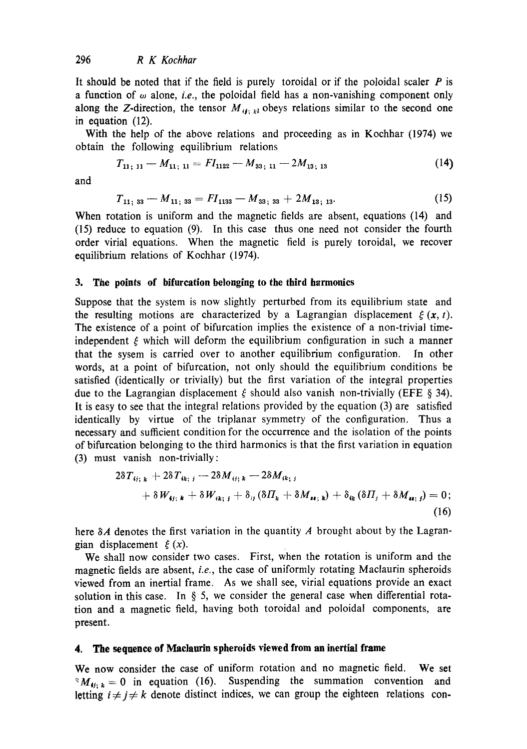It should be noted that if the field is purely toroidal or if the poloidal scaler  $P$  is a function of  $\omega$  alone, *i.e.*, the poloidal field has a non-vanishing component only along the Z-direction, the tensor  $M_{t_1, k_1}$  obeys relations similar to the second one in equation (12).

With the help of the above relations and proceeding as in Kochhar (1974) we obtain the following equilibrium relations

$$
T_{11;\;11} - M_{11;\;11} = FI_{1122} - M_{33;\;11} - 2M_{13;\;13} \tag{14}
$$

and

$$
T_{11; 33} - M_{11; 33} = FI_{1133} - M_{33; 33} + 2M_{13; 13}.
$$
 (15)

When rotation is uniform and the magnetic fields are absent, equations (14) and (15) reduce to equation (9). In this case thus one need not consider the fourth order virial equations. When the magnetic field is purely toroidal, we recover equilibrium relations of Kochhar (1974).

#### 3. The points of bifurcation belonging to the third harmonics

Suppose that the system is now slightly perturbed from its equilibrium state and the resulting motions are characterized by a Lagrangian displacement  $\xi(x, t)$ . The existence of a point of bifurcation implies the existence of a non-trivial timeindependent  $\xi$  which will deform the equilibrium configuration in such a manner that the sysem is carried over to another equilibrium configuration. In other words, at a point of bifurcation, not only should the equilibrium conditions be satisfied (identically or trivially) but the first variation of the integral properties due to the Lagrangian displacement  $\xi$  should also vanish non-trivially (EFE § 34). It is easy to see that the integral relations provided by the equation (3) are satisfied identically by virtue of the triplanar symmetry of the configuration. Thus a necessary and sufficient condition for the occurrence and the isolation of the points of bifurcation belonging to the third harmonics is that the first variation in equation (3) must vanish non-trivially:

$$
2\delta T_{ij;k} + 2\delta T_{ik;j} - 2\delta M_{ij;k} - 2\delta M_{ik;j} + \delta W_{ij;k} + \delta W_{ik;j} + \delta_{ij} (\delta H_k + \delta M_{ii;k}) + \delta_{ik} (\delta H_j + \delta M_{ii;j}) = 0;
$$
\n(16)

here  $\delta A$  denotes the first variation in the quantity A brought about by the Lagrangian displacement  $\xi(x)$ .

We shall now consider two cases. First, When the rotation is uniform and the magnetic fields are absent, *i.e.,* the case of uniformly rotating Maclaurin spheroids viewed from an inertial frame. As we shall see, virial equations provide an exact solution in this ease. In § 5, we consider the general case when differential rotation and a magnetic field, having both toroidal and poloidal components, are present.

# **4. The sequence of Maclaurin spheroids viewed from an inertial frame**

We now consider the case of uniform rotation and no magnetic field. We **set**   $^{\circ}M_{ij;~k} = 0$  in equation (16). Suspending the summation convention and letting  $i \neq j \neq k$  denote distinct indices, we can group the eighteen relations con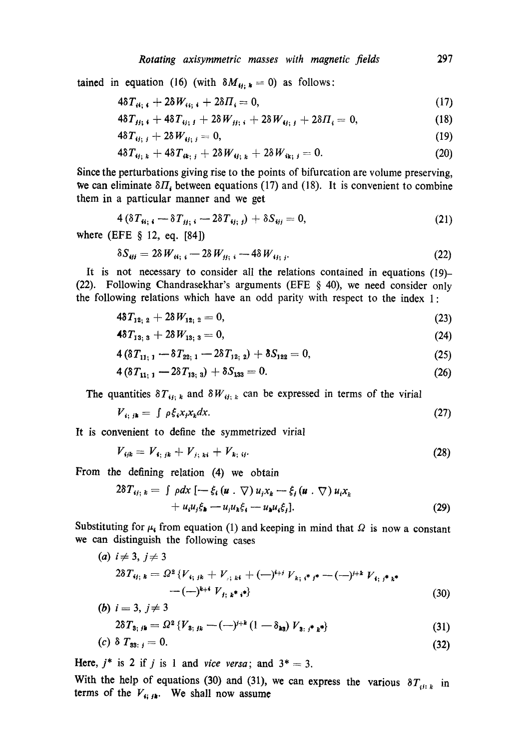tained in equation (16) (with  $\delta M_{\nu_i,k} = 0$ ) as follows:

$$
4\delta T_{ii; \, i} + 2\delta W_{ii; \, i} + 2\delta T_i = 0,\tag{17}
$$

$$
4\delta T_{jj; i} + 4\delta T_{ij; j} + 2\delta W_{jj; i} + 2\delta W_{ij; j} + 2\delta T_i = 0, \qquad (18)
$$

$$
4\delta T_{ij;\,j} + 2\delta W_{ij;\,j} = 0,\tag{19}
$$

$$
4\delta T_{\boldsymbol{\mathit{ij}};\,\boldsymbol{\mathit{k}}}+4\delta T_{\boldsymbol{\mathit{i}}\boldsymbol{\mathit{k}};\,\boldsymbol{\mathit{j}}}+2\delta W_{\boldsymbol{\mathit{ij}};\,\boldsymbol{\mathit{k}}}+2\delta W_{\boldsymbol{\mathit{i}}\boldsymbol{\mathit{k}};\,\boldsymbol{\mathit{j}}}=0.\tag{20}
$$

Since the perturbations giving rise to the points of bifurcation are volume preserving, we can eliminate  $\delta H_i$  between equations (17) and (18). It is convenient to combine them in a particular manner and we get

$$
4(\delta T_{u_i}, -\delta T_{u_i}, -2\delta T_{u_i}) + \delta S_{u_i} = 0, \qquad (21)
$$

where (EFE § 12, eq. [84])

$$
\delta S_{ijj} = 2\delta W_{ii;\;i} - 2\delta W_{jj;\;i} - 4\delta W_{ij;\;j}.\tag{22}
$$

It is not necessary to consider all the relations contained in equations (19)- (22). Following Chandrasekhar's arguments (EFE § 40), we need consider only the following relations which have an odd parity with respect to the index 1:

$$
4\delta T_{12;\ 2} + 2\delta W_{12;\ 2} = 0,\tag{23}
$$

$$
4\delta T_{13;3} + 2\delta W_{13;3} = 0, \tag{24}
$$

$$
4(\delta T_{11;1} - \delta T_{22;1} - 2\delta T_{12;2}) + \delta S_{122} = 0, \qquad (25)
$$

$$
4\left(\delta T_{11;\;1}-2\delta T_{13;\;3}\right)+\delta S_{133}=0.\tag{26}
$$

The quantities  $\delta T_{ij; k}$  and  $\delta W_{ij; k}$  can be expressed in terms of the virial

$$
V_{i; jk} = \int \rho \xi_i x_j x_k dx. \tag{27}
$$

It is convenient to define the symmetrized virial

$$
V_{ijk} = V_{i; jk} + V_{j; ki} + V_{k; ij}.
$$
 (28)

From the defining relation (4) we obtain

$$
2\delta T_{ij;k} = \int \rho dx \, \left[ -\xi_i \left( u \cdot \nabla \right) u_j x_k - \xi_j \left( u \cdot \nabla \right) u_i x_k \right. \\ \left. + u_i u_j \xi_k - u_j u_k \xi_j - u_k u_i \xi_j \right]. \tag{29}
$$

Substituting for  $\mu_k$  from equation (1) and keeping in mind that  $\Omega$  is now a constant we can distinguish the following cases

(a) 
$$
i \neq 3, j \neq 3
$$
  
\n $2\delta T_{ij;k} = \Omega^2 \{V_{i;jk} + V_{j;ki} + (-)^{i+j} V_{k; i^*j^*} - (-)^{j+k} V_{i; j^*k^*} - (-)^{k+j} V_{j; i^*j^*j^*} \}$  (30)

(b) 
$$
i = 3, j \neq 3
$$
  
\n $2\delta T_{3; jk} = \Omega^2 \{V_{3; jk} - (-j^{j+k} (1 - \delta_{k3}) V_{3; j^*k^*}\}\$  (31)

$$
(c) \ \delta \; T_{33: \; j} = 0. \tag{32}
$$

Here,  $j^*$  is 2 if j is 1 and *vice versa*; and  $3^* = 3$ .

With the help of equations (30) and (31), we can express the various  $\delta T_{i^{i}:k}$  in terms of the  $V_{\mathbf{i}; m}$ . We shall now assume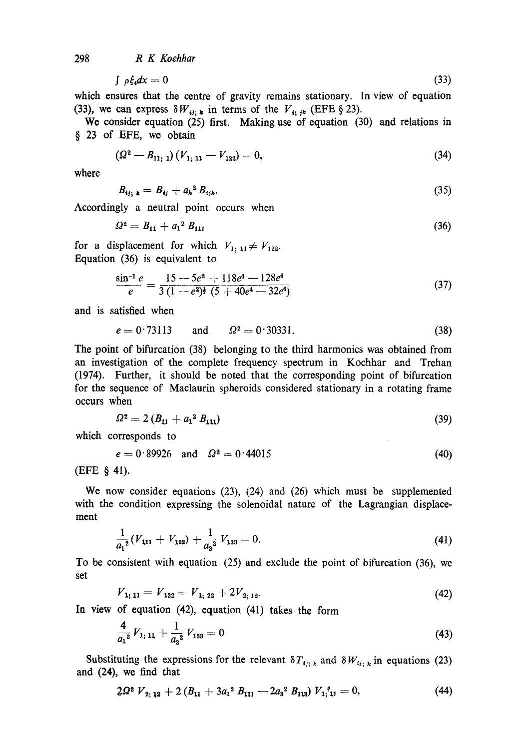298 *R K Koehhar* 

$$
\int \rho \xi_i dx = 0 \tag{33}
$$

which ensures that the centre of gravity remains stationary. In view of equation (33), we can express  $\delta W_{ij; k}$  in terms of the  $V_{i; jk}$  (EFE § 23).

We consider equation **(25) first.** Making use of equation (30) and relations in **§** 23 of EFE, we obtain

$$
\left(\Omega^2 - B_{11;\;1}\right)\left(V_{1;\;11} - V_{122}\right) = 0,\tag{34}
$$

where

$$
B_{ij;\;k} = B_{ij} + a_k^2 B_{ijk}.\tag{35}
$$

Accordingly a neutral point occurs when

$$
\Omega^2 = B_{11} + a_1^2 B_{111} \tag{36}
$$

for a displacement for which  $V_{1; 11} \neq V_{122}$ . Equation (36) is equivalent to

$$
\frac{\sin^{-1} e}{e} = \frac{15 - 5e^2 + 118e^4 - 128e^6}{3(1 - e^2)^{\frac{1}{2}}(5 + 40e^4 - 32e^6)}
$$
(37)

and is satisfied when

$$
e = 0.73113 \text{ and } \Omega^2 = 0.30331. \tag{38}
$$

The point of bifurcation (38) belonging to the third harmonics was obtained from an investigation of the complete frequency spectrum in Kochhar and Trehan (1974). Further, it should be noted that the corresponding point of bifurcation for the sequence of Maclaurin spheroids considered stationary in a rotating frame occurs when

$$
\Omega^2 = 2 \left( B_{11} + a_1^2 \, B_{111} \right) \tag{39}
$$

which corresponds to

$$
e = 0.89926 \quad \text{and} \quad \Omega^2 = 0.44015 \tag{40}
$$

(EFE § 41).

We now consider equations (23), (24) and (26) which must be supplemented with the condition expressing the solenoidal nature of the Lagrangian displacement

$$
\frac{1}{a_1^2}(V_{111} + V_{122}) + \frac{1}{a_3^2} V_{133} = 0.
$$
 (41)

To be consistent with equation (25) and exclude the point of bifurcation (36), we set

$$
V_{1; 11} = V_{122} = V_{1; 22} + 2V_{2; 12}. \tag{42}
$$

In view of equation (42), equation (41) takes the form

$$
\frac{4}{a_1^2}V_{1;\,11} + \frac{1}{a_3^2}V_{133} = 0\tag{43}
$$

Substituting the expressions for the relevant  $\delta T_{i_j; k}$  and  $\delta W_{i_j; k}$  in equations (23) and (24), we find that

$$
2\Omega^2 V_{2;12} + 2 (B_{11} + 3a_1{}^2 B_{111} - 2a_3{}^2 B_{113}) V_{1;1} = 0, \tag{44}
$$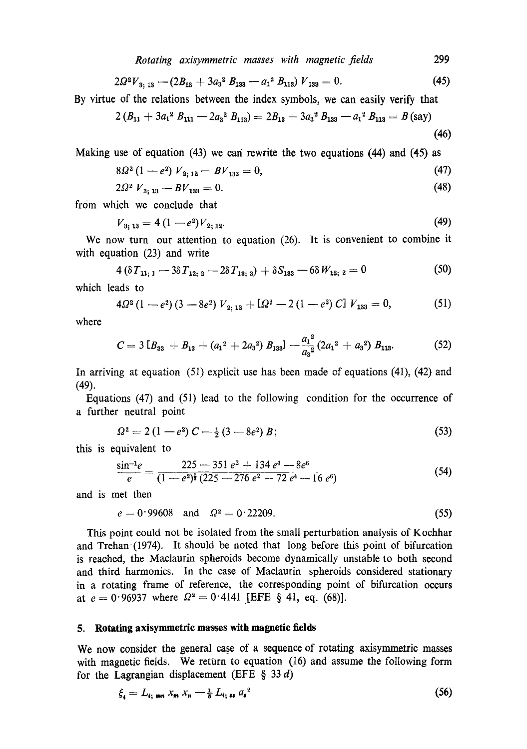*Rotating axisymmetric masses with magnetic fields* 299

$$
2\Omega^2V_{3; 13} - (2B_{13} + 3a_3^2 B_{133} - a_1^2 B_{113})V_{133} = 0.
$$
 (45)

By virtue of the relations between the index symbols, we can easily verify that

$$
2\left(B_{11}+3a_{1}^{2}B_{111}-2a_{3}^{2}B_{113}\right)=2B_{13}+3a_{3}^{2}B_{133}-a_{1}^{2}B_{113}=B
$$
 (say) (46)

Making use of equation (43) we can rewrite the two equations (44) and (45) as

$$
8\Omega^2\left(1-e^2\right)V_{2,12}-BV_{133}=0,\tag{47}
$$

$$
2\Omega^2 V_{3;13} - BV_{133} = 0. \tag{48}
$$

from which we conclude that

$$
V_{3;13} = 4(1-e^2)V_{2;12}.\tag{49}
$$

We now turn our attention to equation (26). It is convenient to combine it with equation (23) and write

$$
4\left(\delta T_{11;\,1}-3\delta T_{12;\,2}-2\delta T_{13;\,3}\right)+\delta S_{133}-6\delta W_{12;\,2}=0\tag{50}
$$

which leads to

$$
4\Omega^2\left(1-e^2\right)\left(3-8e^2\right)V_{2;12}+\left[\Omega^2-2\left(1-e^2\right)C\right]V_{133}=0,\hspace{1cm} (51)
$$

where

$$
C = 3 [B_{33} + B_{13} + (a_1^2 + 2a_3^2) B_{133}] - \frac{a_1^2}{a_3^2} (2a_1^2 + a_3^2) B_{113}.
$$
 (52)

In arriving at equation  $(51)$  explicit use has been made of equations (41), (42) and (49).

Equations (47) and (51) lead to the following condition for the occurrence of a further neutral point

$$
\Omega^2 = 2\left(1 - e^2\right)C - \frac{1}{2}\left(3 - 8e^2\right)B\tag{53}
$$

this is equivalent to

$$
\frac{\sin^{-1}e}{e} = \frac{225 - 351 e^2 + 134 e^4 - 8e^6}{(1 - e^2)^{\frac{1}{2}} (225 - 276 e^2 + 72 e^4 - 16 e^6)}
$$
(54)

and is met then

$$
e = 0.99608 \quad \text{and} \quad \Omega^2 = 0.22209. \tag{55}
$$

This point could not be isolated from the small perturbation analysis of Kochhar and Trehan (1974). It should be noted that long before this point of bifurcation is reached, the Maclaurin spheroids become dynamically unstable to both second and third harmonics. In the case of Maclaurin spheroids considered stationary in a rotating frame of reference, the corresponding point of bifurcation occurs at  $e = 0.96937$  where  $\Omega^2 = 0.4141$  [EFE § 41, eq. (68)].

# **5. Rotating axisymmetrie masses with magnetic fields**

We now consider the general case of a sequence of rotating axisymmetric masses with magnetic fields. We return to equation (16) and assume the following form for the Lagrangian displacement (EFE  $\S$  33 d)

$$
\xi_{\mathbf{i}} = L_{\mathbf{i}; \text{ mm}} \, x_{\mathbf{m}} \, x_{\mathbf{n}} \, - \frac{1}{8} \, L_{\mathbf{i}; \text{ at }} a_{\mathbf{i}}^2 \tag{56}
$$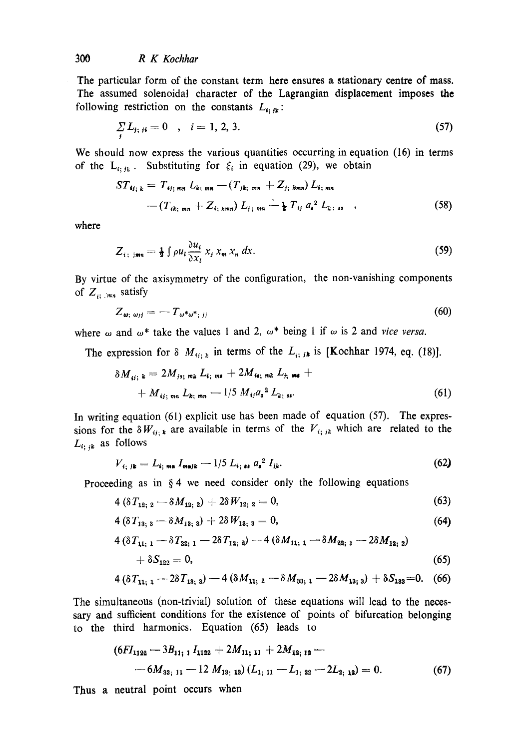## *300 R K Koehhar*

The particular form of the constant term here ensures a stationary centre of mass. The assumed solenoidal character of the Lagrangian displacement imposes the following restriction on the constants  $L_{i; \, j_k}$ :

$$
\sum_{i} L_{j; i} = 0 \quad , \quad i = 1, 2, 3. \tag{57}
$$

We should now express the various quantities occurring in equation (16) in terms of the  $L_{i; j_k}$ . Substituting for  $\xi_i$  in equation (29), we obtain

$$
ST_{ij; k} = T_{ij; min} L_{k; min} - (T_{jk; min} + Z_{j; km}) L_{i; min}
$$
  
-(T<sub>ik; min</sub> + Z<sub>i; kmn</sub>) L<sub>j; min</sub> -  $\frac{1}{k} T_{ij} a_i^2 L_{k; s}$ , (58)

where

$$
Z_{i; \text{ jmn}} = \frac{1}{2} \int \rho u_i \frac{\partial u_i}{\partial x_i} x_j x_m x_n dx. \tag{59}
$$

By virtue of the axisymmetry of the configuration, the non-vanishing components of  $Z_{n+m}$  satisfy

$$
Z_{\omega;\;\omega_{jj}} = -T_{\omega^*\omega^*,\;_{jj}} \tag{60}
$$

where  $\omega$  and  $\omega^*$  take the values 1 and 2,  $\omega^*$  being 1 if  $\omega$  is 2 and *vice versa*.

The expression for  $\delta M_{ij;k}$  in terms of the  $L_{ij;k}$  is [Kochhar 1974, eq. (18)].

$$
\delta M_{ij; k} = 2M_{js; mk} L_{i; m s} + 2M_{i i; mk} L_{j; m s} ++ M_{ij; mn} L_{k; m n} - 1/5 M_{ij} a_s^2 L_{k; s i}.
$$
\n(61)

In writing equation (61) explicit use has been made of equation (57). The expressions for the  $\delta W_{ij;k}$  are available in terms of the  $V_{ij;k}$  which are related to the  $L_{i;ik}$  as follows

$$
V_{i; jk} = L_{i; m n} I_{m n j k} - 1/5 L_{i; n} a_i^2 I_{j k}. \qquad (62)
$$

Proceeding as in § 4 we need consider only the following equations

$$
4\left(\delta T_{12;\ 2}-\delta M_{12;\ 2}\right)+2\delta W_{12;\ 2}=0,\tag{63}
$$

$$
4\left(\delta T_{13;\ 3}-\delta M_{13;\ 3}\right)+2\delta W_{13;\ 3}=0,\tag{64}
$$

$$
4\left(\delta T_{11; 1} - \delta T_{22; 1} - 2\delta T_{12; 2}\right) - 4\left(\delta M_{11; 1} - \delta M_{22; 1} - 2\delta M_{12; 2}\right) + \delta S_{122} = 0,
$$
\n(65)

$$
4(\delta T_{11; 1} - 2\delta T_{13; 3}) - 4(\delta M_{11; 1} - \delta M_{33; 1} - 2\delta M_{13; 3}) + \delta S_{133} = 0. \quad (66)
$$

The simultaneous (non-trivial) solution of these equations will lead to the necessary and sufficient conditions for the existence of points of bifurcation belonging to the third harmonics. Equation (65) leads to

$$
(6FI1122 - 3B11; 1 I1122 + 2M11; 11 + 2M12; 12 --6M33; 11 - 12 M13; 13 (L1; 11 - L1; 22 - 2L2; 12) = 0.
$$
 (67)

Thus a neutral point occurs when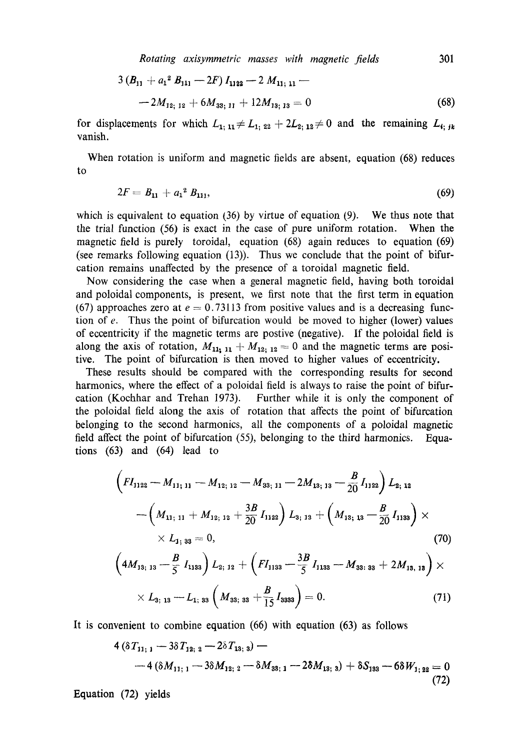*Rotating axisymmetric masses with magnetic jields* **301** 

$$
3 (B_{11} + a_1^2 B_{111} - 2F) I_{1122} - 2 M_{11; 11} - 2 M_{12; 12} + 6 M_{33; 11} + 12 M_{13; 13} = 0
$$
\n(68)

for displacements for which  $L_1$ ,  $_{11} \neq L_1$ ,  $_{22} + 2L_2$ ,  $_{12} \neq 0$  and the remaining  $L_i$ ,  $_{ik}$ vanish.

When rotation is uniform and magnetic fields are absent, equation (68) reduces to

$$
2F = B_{11} + a_1^2 B_{111}, \tag{69}
$$

which is equivalent to equation  $(36)$  by virtue of equation  $(9)$ . We thus note that the trial function (56) is exact in the case of pure uniform rotation. When the magnetic field is purely toroidal, equation (68) again reduces to equation (69) (see remarks following equation (13)). Thus we conclude that the point of bifurcation remains unaffected by the presence of a toroidal magnetic field.

Now considering the case when a general magnetic field, having both toroidal and poloidal components, is present, we first note that the first term in equation (67) approaches zero at  $e = 0.73113$  from positive values and is a decreasing function of  $e$ . Thus the point of bifurcation would be moved to higher (lower) values of eccentricity if the magnetic terms are postive (negative). If the poloidal field is along the axis of rotation,  $M_{11, 11} + M_{12, 12} = 0$  and the magnetic terms are positive. The point of bifurcation is then moved to higher values of eccentricity.

These results should be compared with the corresponding results for second harmonics, where the effect of a poloidal field is always to raise the point of bifurcation (Kochhar and Trehan 1973). Further while it is only the component of the poloidal field along the axis of rotation that affects the point of bifurcation belonging to the second harmonics, all the components of a poloidal magnetic field affect the point of bifurcation (59, belonging to the third harmonics. Equations (63) and (64) lead to

$$
\left(FI_{1122}-M_{11; 11}-M_{12; 12}-M_{33; 11}-2M_{13; 13}-\frac{B}{20}I_{1122}\right)L_{2; 12}
$$

$$
-\left(M_{11; 11}+M_{12; 12}+\frac{3B}{20}I_{1122}\right)L_{3; 13}+\left(M_{13; 13}-\frac{B}{20}I_{1133}\right)\times\n\times L_{1; 33}=0,
$$
\n(70)

$$
\left(4M_{13; 13} - \frac{B}{5} I_{1133}\right) L_{2; 12} + \left(FI_{1133} - \frac{3B}{5} I_{1133} - M_{33; 33} + 2M_{13; 13}\right) \times \\ \times L_{3; 13} - L_{1; 33}\left(M_{33; 33} + \frac{B}{15} I_{3333}\right) = 0. \tag{71}
$$

It is convenient to combine equation (66) with equation (63) as follows

$$
4\left(\delta T_{11;\,1}-3\delta T_{12;\,2}-2\delta T_{13;\,3}\right)--4\left(\delta M_{11;\,1}-3\delta M_{12;\,2}-\delta M_{33;\,1}-2\delta M_{13;\,3}\right)+\delta S_{133}-6\delta W_{1;\,22}=0
$$
\n(72)

Equation (72) yields